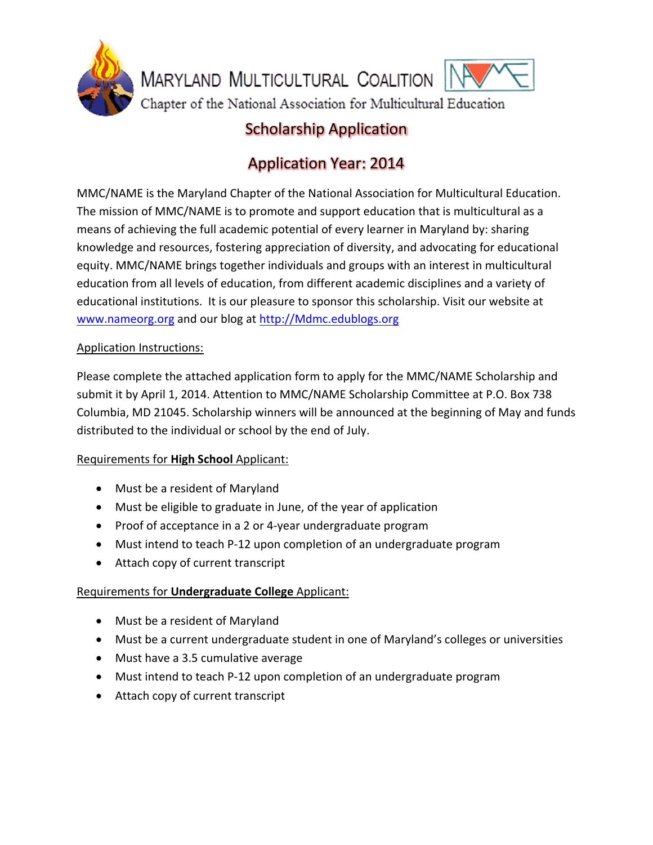

## Scholarship Application

# Application Year: 2014

MMC/NAME is the Maryland Chapter of the National Association for Multicultural Education. The mission of MMC/NAME is to promote and support education that is multicultural as a means of achieving the full academic potential of every learner in Maryland by: sharing knowledge and resources, fostering appreciation of diversity, and advocating for educational equity. MMC/NAME brings together individuals and groups with an interest in multicultural education from all levels of education, from different academic disciplines and a variety of educational institutions. It is our pleasure to sponsor this scholarship. Visit our website at www.nameorg.org and our blog at http://Mdmc.edublogs.org

## Application Instructions:

Please complete the attached application form to apply for the MMC/NAME Scholarship and submit it by April 1, 2014. Attention to MMC/NAME Scholarship Committee at P.O. Box 738 Columbia, MD 21045. Scholarship winners will be announced at the beginning of May and funds distributed to the individual or school by the end of July.

#### Requirements for **High School** Applicant:

- Must be a resident of Maryland
- Must be eligible to graduate in June, of the year of application
- Proof of acceptance in a 2 or 4-year undergraduate program
- Must intend to teach P‐12 upon completion of an undergraduate program
- Attach copy of current transcript

## Requirements for **Undergraduate College** Applicant:

- Must be a resident of Maryland
- Must be a current undergraduate student in one of Maryland's colleges or universities
- Must have a 3.5 cumulative average
- Must intend to teach P-12 upon completion of an undergraduate program
- Attach copy of current transcript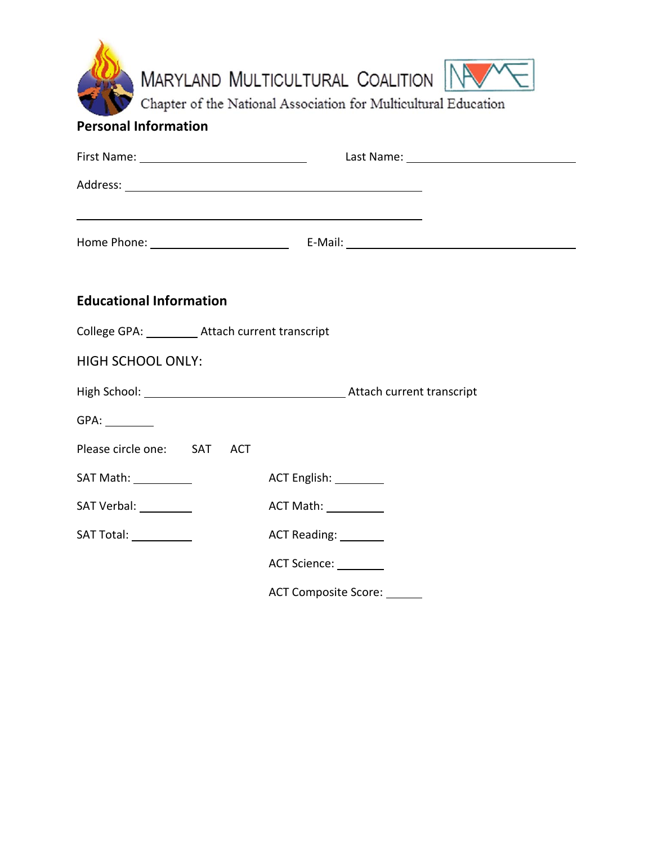| MARYLAND MULTICULTURAL COALITION<br>Chapter of the National Association for Multicultural Education<br><b>Personal Information</b> |                                      |  |  |
|------------------------------------------------------------------------------------------------------------------------------------|--------------------------------------|--|--|
|                                                                                                                                    |                                      |  |  |
|                                                                                                                                    |                                      |  |  |
| and the control of the control of the control of the control of the control of the control of the control of the                   |                                      |  |  |
|                                                                                                                                    |                                      |  |  |
| <b>Educational Information</b>                                                                                                     |                                      |  |  |
| College GPA: _________ Attach current transcript                                                                                   |                                      |  |  |
| <b>HIGH SCHOOL ONLY:</b>                                                                                                           |                                      |  |  |
|                                                                                                                                    |                                      |  |  |
|                                                                                                                                    |                                      |  |  |
| Please circle one: SAT ACT                                                                                                         |                                      |  |  |
| SAT Math: 1988                                                                                                                     | ACT English: 1997                    |  |  |
| SAT Verbal: _________                                                                                                              | ACT Math: ___________                |  |  |
| SAT Total: <u>______________</u>                                                                                                   | ACT Reading: ________                |  |  |
|                                                                                                                                    | ACT Science: <u>New York Barness</u> |  |  |
|                                                                                                                                    | ACT Composite Score: ______          |  |  |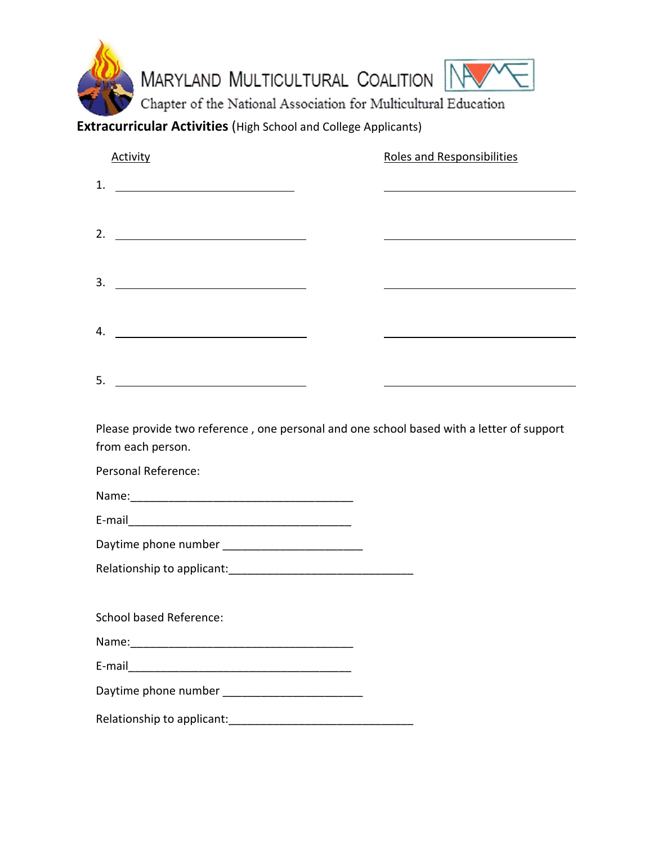

**Extracurricular Activities** (High School and College Applicants)

| <b>Activity</b>                                                                                                            | <b>Roles and Responsibilities</b>                                                        |
|----------------------------------------------------------------------------------------------------------------------------|------------------------------------------------------------------------------------------|
| 1.<br><u> The Communication of the Communication</u>                                                                       |                                                                                          |
| 2.<br><u> Alexandria de la contrada de la contrada de la contrada de la contrada de la contrada de la contrada de la c</u> |                                                                                          |
|                                                                                                                            |                                                                                          |
| 3.<br><u> The Communication of the Communication of the Communication of the Communication of the Communication of</u>     |                                                                                          |
| 4.<br><u> 1989 - Johann Barbara, martxa alemaniar a</u>                                                                    |                                                                                          |
|                                                                                                                            |                                                                                          |
| 5.<br><u> 1980 - John Stein, Amerikaansk politiker (</u>                                                                   |                                                                                          |
| from each person.                                                                                                          | Please provide two reference, one personal and one school based with a letter of support |
| Personal Reference:                                                                                                        |                                                                                          |
| Name: 2008 2009 2010 2021 2022 2023 2024 2022 2023 2024 2022 2023 2024 2022 2023 2024 2022 2023 2024 2022 2023             |                                                                                          |
|                                                                                                                            |                                                                                          |
|                                                                                                                            |                                                                                          |
| Daytime phone number ________________________                                                                              |                                                                                          |
|                                                                                                                            |                                                                                          |
| <b>School based Reference:</b>                                                                                             |                                                                                          |
|                                                                                                                            |                                                                                          |
|                                                                                                                            |                                                                                          |
|                                                                                                                            |                                                                                          |